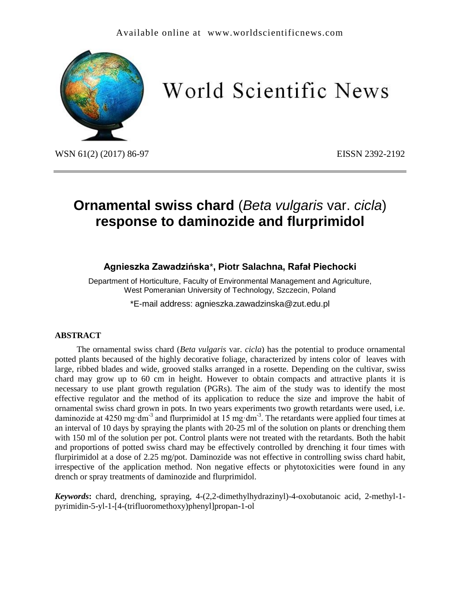

# World Scientific News

WSN 61(2) (2017) 86-97 EISSN 2392-2192

# **Ornamental swiss chard** (*Beta vulgaris* var. *cicla*) **response to daminozide and flurprimidol**

## **Agnieszka Zawadzińska**\***, Piotr Salachna, Rafał Piechocki**

Department of Horticulture, Faculty of Environmental Management and Agriculture, West Pomeranian University of Technology, Szczecin, Poland

\*E-mail address: agnieszka.zawadzinska@zut.edu.pl

#### **ABSTRACT**

The ornamental swiss chard (*Beta vulgaris* var. *cicla*) has the potential to produce ornamental potted plants becaused of the highly decorative foliage, characterized by intens color of leaves with large, ribbed blades and wide, grooved stalks arranged in a rosette. Depending on the cultivar, swiss chard may grow up to 60 cm in height. However to obtain compacts and attractive plants it is necessary to use plant growth regulation (PGRs). The aim of the study was to identify the most effective regulator and the method of its application to reduce the size and improve the habit of ornamental swiss chard grown in pots. In two years experiments two growth retardants were used, i.e. daminozide at 4250 mg·dm<sup>-3</sup> and flurprimidol at 15 mg·dm<sup>-3</sup>. The retardants were applied four times at an interval of 10 days by spraying the plants with 20-25 ml of the solution on plants or drenching them with 150 ml of the solution per pot. Control plants were not treated with the retardants. Both the habit and proportions of potted swiss chard may be effectively controlled by drenching it four times with flurpirimidol at a dose of 2.25 mg/pot. Daminozide was not effective in controlling swiss chard habit, irrespective of the application method. Non negative effects or phytotoxicities were found in any drench or spray treatments of daminozide and flurprimidol.

*Keywords***:** chard, drenching, spraying, 4-(2,2-dimethylhydrazinyl)-4-oxobutanoic acid, 2-methyl-1 pyrimidin-5-yl-1-[4-(trifluoromethoxy)phenyl]propan-1-ol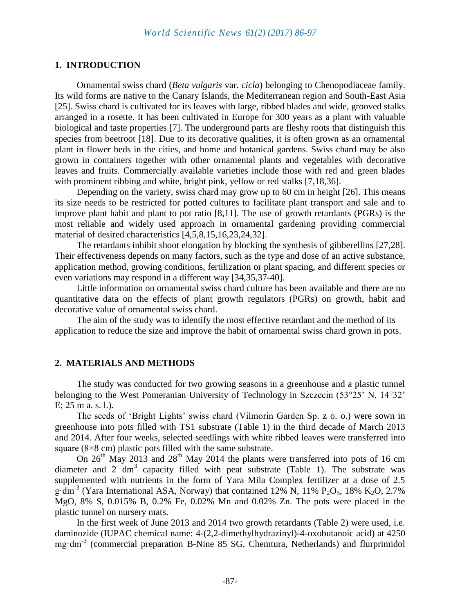#### **1. INTRODUCTION**

Ornamental swiss chard (*Beta vulgaris* var. *cicla*) belonging to Chenopodiaceae family. Its wild forms are native to the Canary Islands, the Mediterranean region and South-East Asia [25]. Swiss chard is cultivated for its leaves with large, ribbed blades and wide, grooved stalks arranged in a rosette. It has been cultivated in Europe for 300 years as a plant with valuable biological and taste properties [7]. The underground parts are fleshy roots that distinguish this species from beetroot [18]. Due to its decorative qualities, it is often grown as an ornamental plant in flower beds in the cities, and home and botanical gardens. Swiss chard may be also grown in containers together with other ornamental plants and vegetables with decorative leaves and fruits. Commercially available varieties include those with red and green blades with prominent ribbing and white, bright pink, yellow or red stalks [7,18,36].

Depending on the variety, swiss chard may grow up to 60 cm in height [26]. This means its size needs to be restricted for potted cultures to facilitate plant transport and sale and to improve plant habit and plant to pot ratio [8,11]. The use of growth retardants (PGRs) is the most reliable and widely used approach in ornamental gardening providing commercial material of desired characteristics [4,5,8,15,16,23,24,32].

The retardants inhibit shoot elongation by blocking the synthesis of gibberellins [27,28]. Their effectiveness depends on many factors, such as the type and dose of an active substance, application method, growing conditions, fertilization or plant spacing, and different species or even variations may respond in a different way [34,35,37-40].

Little information on ornamental swiss chard culture has been available and there are no quantitative data on the effects of plant growth regulators (PGRs) on growth, habit and decorative value of ornamental swiss chard.

The aim of the study was to identify the most effective retardant and the method of its application to reduce the size and improve the habit of ornamental swiss chard grown in pots.

#### **2. MATERIALS AND METHODS**

The study was conducted for two growing seasons in a greenhouse and a plastic tunnel belonging to the West Pomeranian University of Technology in Szczecin (53°25' N, 14°32' E; 25 m a. s. l.).

The seeds of 'Bright Lights' swiss chard (Vilmorin Garden Sp. z o. o.) were sown in greenhouse into pots filled with TS1 substrate (Table 1) in the third decade of March 2013 and 2014. After four weeks, selected seedlings with white ribbed leaves were transferred into square  $(8\times8 \text{ cm})$  plastic pots filled with the same substrate.

On  $26<sup>th</sup>$  May 2013 and  $28<sup>th</sup>$  May 2014 the plants were transferred into pots of 16 cm diameter and 2  $dm<sup>3</sup>$  capacity filled with peat substrate (Table 1). The substrate was supplemented with nutrients in the form of Yara Mila Complex fertilizer at a dose of 2.5  $g \cdot dm^{-3}$  (Yara International ASA, Norway) that contained 12% N, 11% P<sub>2</sub>O<sub>5</sub>, 18% K<sub>2</sub>O, 2.7% MgO, 8% S, 0.015% B, 0.2% Fe, 0.02% Mn and 0.02% Zn. The pots were placed in the plastic tunnel on nursery mats.

In the first week of June 2013 and 2014 two growth retardants (Table 2) were used, i.e. daminozide (IUPAC chemical name: 4-(2,2-dimethylhydrazinyl)-4-oxobutanoic acid) at 4250 mg·dm-3 (commercial preparation B-Nine 85 SG, Chemtura, Netherlands) and flurprimidol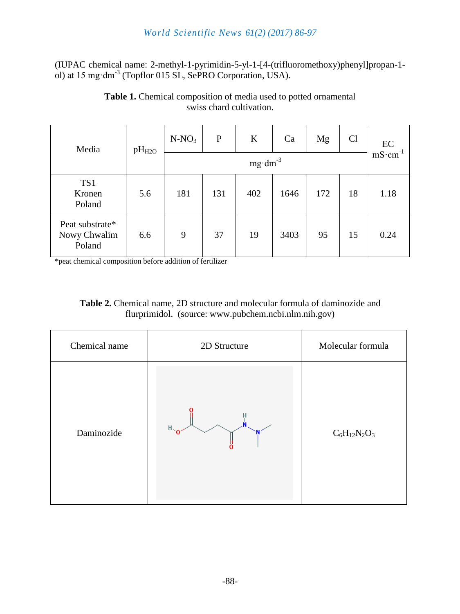# *World Scientific News 61(2) (2017) 86-97*

(IUPAC chemical name: 2-methyl-1-pyrimidin-5-yl-1-[4-(trifluoromethoxy)phenyl]propan-1 ol) at 15 mg·dm-3 (Topflor 015 SL, SePRO Corporation, USA).

| Media                                     | pH <sub>H2O</sub> | $N-NO_3$           | $\mathbf P$ | K   | Ca   | Mg  | Cl | EC                 |
|-------------------------------------------|-------------------|--------------------|-------------|-----|------|-----|----|--------------------|
|                                           |                   | $mg \cdot dm^{-3}$ |             |     |      |     |    | $mS \cdot cm^{-1}$ |
| TS1<br>Kronen<br>Poland                   | 5.6               | 181                | 131         | 402 | 1646 | 172 | 18 | 1.18               |
| Peat substrate*<br>Nowy Chwalim<br>Poland | 6.6               | 9                  | 37          | 19  | 3403 | 95  | 15 | 0.24               |

**Table 1.** Chemical composition of media used to potted ornamental swiss chard cultivation.

\*peat chemical composition before addition of fertilizer

| <b>Table 2.</b> Chemical name, 2D structure and molecular formula of daminozide and |
|-------------------------------------------------------------------------------------|
| flurprimidol. (source: www.pubchem.ncbi.nlm.nih.gov)                                |

| Chemical name | 2D Structure   | Molecular formula |
|---------------|----------------|-------------------|
| Daminozide    | $H_{\gamma_0}$ | $C_6H_{12}N_2O_3$ |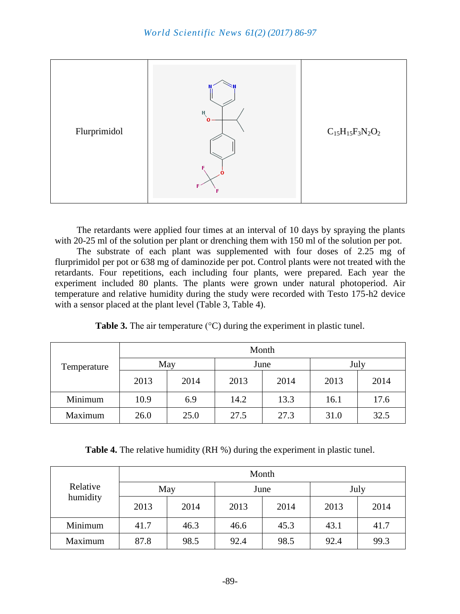

The retardants were applied four times at an interval of 10 days by spraying the plants with 20-25 ml of the solution per plant or drenching them with 150 ml of the solution per pot.

The substrate of each plant was supplemented with four doses of 2.25 mg of flurprimidol per pot or 638 mg of daminozide per pot. Control plants were not treated with the retardants. Four repetitions, each including four plants, were prepared. Each year the experiment included 80 plants. The plants were grown under natural photoperiod. Air temperature and relative humidity during the study were recorded with Testo 175-h2 device with a sensor placed at the plant level (Table 3, Table 4).

|             | Month |      |      |      |      |      |  |
|-------------|-------|------|------|------|------|------|--|
| Temperature | May   |      | June |      | July |      |  |
|             | 2013  | 2014 | 2013 | 2014 | 2013 | 2014 |  |
| Minimum     | 10.9  | 6.9  | 14.2 | 13.3 | 16.1 | 17.6 |  |
| Maximum     | 26.0  | 25.0 | 27.5 | 27.3 | 31.0 | 32.5 |  |

**Table 3.** The air temperature (°C) during the experiment in plastic tunel.

**Table 4.** The relative humidity (RH %) during the experiment in plastic tunel.

|                      | Month |      |      |      |      |      |  |
|----------------------|-------|------|------|------|------|------|--|
| Relative<br>humidity | May   |      | June |      | July |      |  |
|                      | 2013  | 2014 | 2013 | 2014 | 2013 | 2014 |  |
| Minimum              | 41.7  | 46.3 | 46.6 | 45.3 | 43.1 | 41.7 |  |
| Maximum              | 87.8  | 98.5 | 92.4 | 98.5 | 92.4 | 99.3 |  |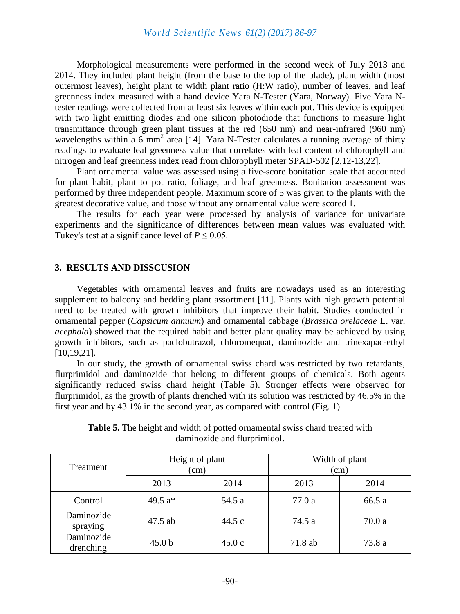Morphological measurements were performed in the second week of July 2013 and 2014. They included plant height (from the base to the top of the blade), plant width (most outermost leaves), height plant to width plant ratio (H:W ratio), number of leaves, and leaf greenness index measured with a hand device Yara N-Tester (Yara, Norway). Five Yara Ntester readings were collected from at least six leaves within each pot. This device is equipped with two light emitting diodes and one silicon photodiode that functions to measure light transmittance through green plant tissues at the red (650 nm) and near-infrared (960 nm) wavelengths within a  $6 \text{ mm}^2$  area [14]. Yara N-Tester calculates a running average of thirty readings to evaluate leaf greenness value that correlates with leaf content of chlorophyll and nitrogen and leaf greenness index read from chlorophyll meter SPAD-502 [2,12-13,22].

Plant ornamental value was assessed using a five-score bonitation scale that accounted for plant habit, plant to pot ratio, foliage, and leaf greenness. Bonitation assessment was performed by three independent people. Maximum score of 5 was given to the plants with the greatest decorative value, and those without any ornamental value were scored 1.

The results for each year were processed by analysis of variance for univariate experiments and the significance of differences between mean values was evaluated with Tukey's test at a significance level of  $P \le 0.05$ .

#### **3. RESULTS AND DISSCUSION**

Vegetables with ornamental leaves and fruits are nowadays used as an interesting supplement to balcony and bedding plant assortment [11]. Plants with high growth potential need to be treated with growth inhibitors that improve their habit. Studies conducted in ornamental pepper (*Capsicum annuum*) and ornamental cabbage (*Brassica orelaceae* L. var. *acephala*) showed that the required habit and better plant quality may be achieved by using growth inhibitors, such as paclobutrazol, chloromequat, daminozide and trinexapac-ethyl [10,19,21].

In our study, the growth of ornamental swiss chard was restricted by two retardants, flurprimidol and daminozide that belong to different groups of chemicals. Both agents significantly reduced swiss chard height (Table 5). Stronger effects were observed for flurprimidol, as the growth of plants drenched with its solution was restricted by 46.5% in the first year and by 43.1% in the second year, as compared with control (Fig. 1).

| Treatment               | Height of plant<br>(cm) |        | Width of plant<br>(cm) |        |  |
|-------------------------|-------------------------|--------|------------------------|--------|--|
|                         | 2013                    | 2014   | 2013                   | 2014   |  |
| Control                 | 49.5 $a*$               | 54.5 a | 77.0 a                 | 66.5 a |  |
| Daminozide<br>spraying  | 47.5 ab                 | 44.5c  | 74.5 a                 | 70.0a  |  |
| Daminozide<br>drenching | 45.0 <sub>b</sub>       | 45.0c  | 71.8 ab                | 73.8 a |  |

**Table 5.** The height and width of potted ornamental swiss chard treated with daminozide and flurprimidol.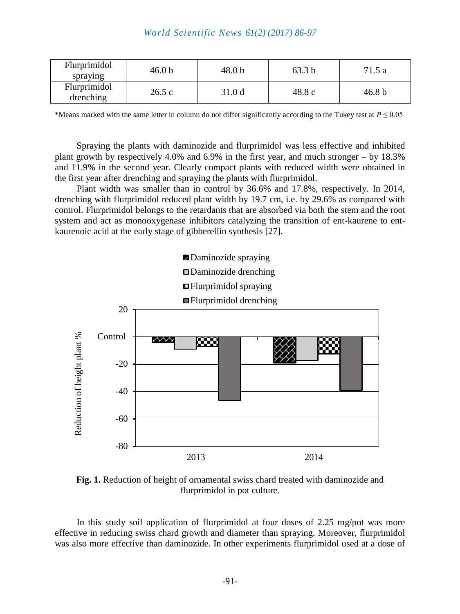| Flurprimidol<br>spraying  | 46.0 <sub>b</sub> | 48.0 b            | 63.3 b | 71.5a             |
|---------------------------|-------------------|-------------------|--------|-------------------|
| Flurprimidol<br>drenching | 26.5c             | 31.0 <sub>d</sub> | 48.8 c | 46.8 <sub>b</sub> |

\*Means marked with the same letter in column do not differ significantly according to the Tukey test at  $P \le 0.05$ 

Spraying the plants with daminozide and flurprimidol was less effective and inhibited plant growth by respectively 4.0% and 6.9% in the first year, and much stronger – by 18.3% and 11.9% in the second year. Clearly compact plants with reduced width were obtained in the first year after drenching and spraying the plants with flurprimidol.

Plant width was smaller than in control by 36.6% and 17.8%, respectively. In 2014, drenching with flurprimidol reduced plant width by 19.7 cm, i.e. by 29.6% as compared with control. Flurprimidol belongs to the retardants that are absorbed via both the stem and the root system and act as monooxygenase inhibitors catalyzing the transition of ent-kaurene to entkaurenoic acid at the early stage of gibberellin synthesis [27].



**Fig. 1.** Reduction of height of ornamental swiss chard treated with daminozide and flurprimidol in pot culture.

In this study soil application of flurprimidol at four doses of 2.25 mg/pot was more effective in reducing swiss chard growth and diameter than spraying. Moreover, flurprimidol was also more effective than daminozide. In other experiments flurprimidol used at a dose of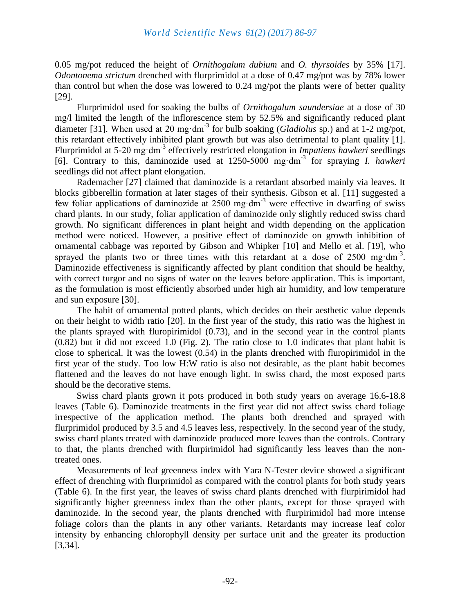0.05 mg/pot reduced the height of *Ornithogalum dubium* and *O. thyrsoides* by 35% [17]. *Odontonema strictum* drenched with flurprimidol at a dose of 0.47 mg/pot was by 78% lower than control but when the dose was lowered to 0.24 mg/pot the plants were of better quality [29].

Flurprimidol used for soaking the bulbs of *Ornithogalum saundersiae* at a dose of 30 mg/l limited the length of the inflorescence stem by 52.5% and significantly reduced plant diameter [31]. When used at 20 mg·dm-3 for bulb soaking (*Gladiolus* sp.) and at 1-2 mg/pot, this retardant effectively inhibited plant growth but was also detrimental to plant quality [1]. Flurprimidol at 5-20 mg·dm-3 effectively restricted elongation in *Impatiens hawkeri* seedlings [6]. Contrary to this, daminozide used at 1250-5000 mg·dm-3 for spraying *I. hawkeri* seedlings did not affect plant elongation.

Rademacher [27] claimed that daminozide is a retardant absorbed mainly via leaves. It blocks gibberellin formation at later stages of their synthesis. Gibson et al. [11] suggested a few foliar applications of daminozide at 2500 mg·dm-3 were effective in dwarfing of swiss chard plants. In our study, foliar application of daminozide only slightly reduced swiss chard growth. No significant differences in plant height and width depending on the application method were noticed. However, a positive effect of daminozide on growth inhibition of ornamental cabbage was reported by Gibson and Whipker [10] and Mello et al. [19], who sprayed the plants two or three times with this retardant at a dose of  $2500$  mg·dm<sup>-3</sup>. Daminozide effectiveness is significantly affected by plant condition that should be healthy, with correct turgor and no signs of water on the leaves before application. This is important, as the formulation is most efficiently absorbed under high air humidity, and low temperature and sun exposure [30].

The habit of ornamental potted plants, which decides on their aesthetic value depends on their height to width ratio [20]. In the first year of the study, this ratio was the highest in the plants sprayed with fluropirimidol (0.73), and in the second year in the control plants (0.82) but it did not exceed 1.0 (Fig. 2). The ratio close to 1.0 indicates that plant habit is close to spherical. It was the lowest (0.54) in the plants drenched with fluropirimidol in the first year of the study. Too low H:W ratio is also not desirable, as the plant habit becomes flattened and the leaves do not have enough light. In swiss chard, the most exposed parts should be the decorative stems.

Swiss chard plants grown it pots produced in both study years on average 16.6-18.8 leaves (Table 6). Daminozide treatments in the first year did not affect swiss chard foliage irrespective of the application method. The plants both drenched and sprayed with flurprimidol produced by 3.5 and 4.5 leaves less, respectively. In the second year of the study, swiss chard plants treated with daminozide produced more leaves than the controls. Contrary to that, the plants drenched with flurpirimidol had significantly less leaves than the nontreated ones.

Measurements of leaf greenness index with Yara N-Tester device showed a significant effect of drenching with flurprimidol as compared with the control plants for both study years (Table 6). In the first year, the leaves of swiss chard plants drenched with flurpirimidol had significantly higher greenness index than the other plants, except for those sprayed with daminozide. In the second year, the plants drenched with flurpirimidol had more intense foliage colors than the plants in any other variants. Retardants may increase leaf color intensity by enhancing chlorophyll density per surface unit and the greater its production [3,34].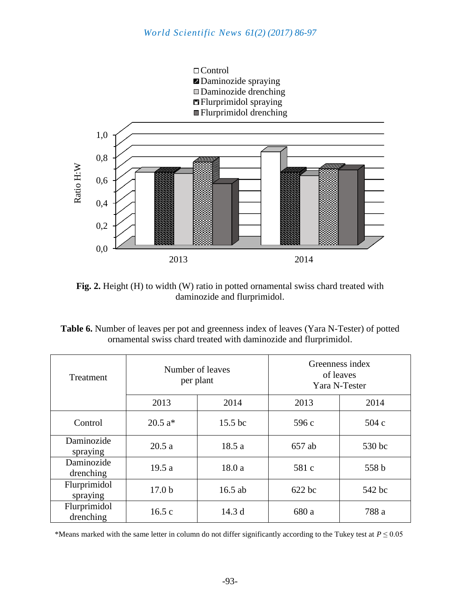

Fig. 2. Height (H) to width (W) ratio in potted ornamental swiss chard treated with daminozide and flurprimidol.

| <b>Table 6.</b> Number of leaves per pot and greenness index of leaves (Yara N-Tester) of potted |
|--------------------------------------------------------------------------------------------------|
| ornamental swiss chard treated with daminozide and flurprimidol.                                 |

| Treatment                 | Number of leaves<br>per plant |           | Greenness index<br>of leaves<br>Yara N-Tester |        |  |
|---------------------------|-------------------------------|-----------|-----------------------------------------------|--------|--|
|                           | 2013                          | 2014      | 2013                                          | 2014   |  |
| Control                   | $20.5 a*$                     | $15.5$ bc | 596 c                                         | 504c   |  |
| Daminozide<br>spraying    | 20.5a                         | 18.5 a    | 657 ab                                        | 530 bc |  |
| Daminozide<br>drenching   | 19.5a                         | 18.0a     | 581 c                                         | 558 b  |  |
| Flurprimidol<br>spraying  | 17.0 <sub>b</sub>             | 16.5 ab   | 622 bc                                        | 542 bc |  |
| Flurprimidol<br>drenching | 16.5c                         | 14.3 d    | 680 a                                         | 788 a  |  |

\*Means marked with the same letter in column do not differ significantly according to the Tukey test at  $P \le 0.05$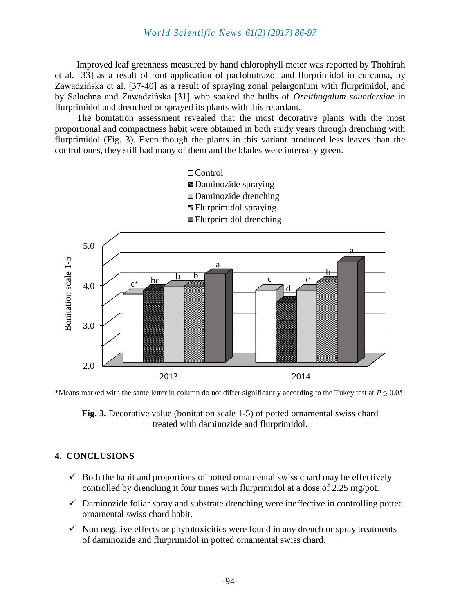Improved leaf greenness measured by hand chlorophyll meter was reported by Thohirah et al. [33] as a result of root application of paclobutrazol and flurprimidol in curcuma, by Zawadzińska et al. [37-40] as a result of spraying zonal pelargonium with flurprimidol, and by Salachna and Zawadzińska [31] who soaked the bulbs of *Ornithogalum saundersiae* in flurprimidol and drenched or sprayed its plants with this retardant.

The bonitation assessment revealed that the most decorative plants with the most proportional and compactness habit were obtained in both study years through drenching with flurprimidol (Fig. 3). Even though the plants in this variant produced less leaves than the control ones, they still had many of them and the blades were intensely green.



\*Means marked with the same letter in column do not differ significantly according to the Tukey test at  $P \leq 0.05$ 

**Fig. 3.** Decorative value (bonitation scale 1-5) of potted ornamental swiss chard treated with daminozide and flurprimidol.

#### **4. CONCLUSIONS**

- $\checkmark$  Both the habit and proportions of potted ornamental swiss chard may be effectively controlled by drenching it four times with flurprimidol at a dose of 2.25 mg/pot.
- $\checkmark$  Daminozide foliar spray and substrate drenching were ineffective in controlling potted ornamental swiss chard habit.
- $\checkmark$  Non negative effects or phytotoxicities were found in any drench or spray treatments of daminozide and flurprimidol in potted ornamental swiss chard.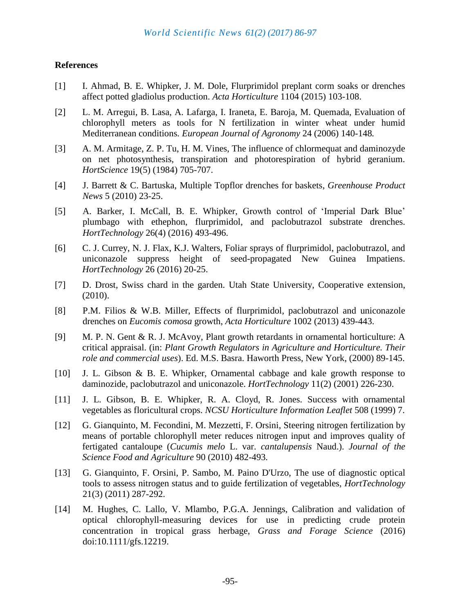### **References**

- [1] I. Ahmad, B. E. Whipker, J. M. Dole, Flurprimidol preplant corm soaks or drenches affect potted gladiolus production. *Acta Horticulture* 1104 (2015) 103-108.
- [2] L. M. Arregui, B. Lasa, A. Lafarga, I. Iraneta, E. Baroja, M. Quemada, Evaluation of chlorophyll meters as tools for N fertilization in winter wheat under humid Mediterranean conditions*. European Journal of Agronomy* 24 (2006) 140-148*.*
- [3] A. M. Armitage, Z. P. Tu, H. M. Vines, The influence of chlormequat and daminozyde on net photosynthesis, transpiration and photorespiration of hybrid geranium. *HortScience* 19(5) (1984) 705-707.
- [4] J. Barrett & C. Bartuska, Multiple Topflor drenches for baskets, *Greenhouse Product News* 5 (2010) 23-25.
- [5] A. [Barker,](https://www.scopus.com/authid/detail.uri?authorId=57190962554&eid=2-s2.0-84984858112) I. [McCall, B.](https://www.scopus.com/authid/detail.uri?authorId=8285015100&eid=2-s2.0-84984858112) E. Whipker, Growth control of 'Imperial Dark Blue' plumbago with ethephon, flurprimidol, and paclobutrazol substrate drenches. *[HortTechnology](https://www.scopus.com/source/sourceInfo.uri?sourceId=25344&origin=recordpage)* 26(4) (2016) 493-496.
- [6] C. J. Currey, N. J. Flax, K.J. Walters, Foliar sprays of flurprimidol, paclobutrazol, and uniconazole suppress height of seed-propagated New Guinea Impatiens. *HortTechnology* 26 (2016) 20-25.
- [7] D. Drost, Swiss chard in the garden. Utah State University, Cooperative extension, (2010).
- [8] P.M. Filios & W.B. Miller, Effects of flurprimidol, paclobutrazol and uniconazole drenches on *Eucomis comosa* growth, *Acta Horticulture* 1002 (2013) 439-443.
- [9] M. P. N. Gent & R. J. McAvoy, Plant growth retardants in ornamental horticulture: A critical appraisal. (in: *Plant Growth Regulators in Agriculture and Horticulture. Their role and commercial uses*). Ed. M.S. Basra. Haworth Press, New York, (2000) 89-145.
- [10] J. L. Gibson & B. E. Whipker, Ornamental cabbage and kale growth response to daminozide, paclobutrazol and uniconazole. *HortTechnology* 11(2) (2001) 226-230.
- [11] J. L. Gibson, B. E. Whipker, R. A. Cloyd, R. Jones. Success with ornamental vegetables as floricultural crops. *NCSU Horticulture Information Leaflet* 508 (1999) 7.
- [12] G. Gianquinto, M. Fecondini, M. Mezzetti, F. Orsini, Steering nitrogen fertilization by means of portable chlorophyll meter reduces nitrogen input and improves quality of fertigated cantaloupe (*Cucumis melo* L. var. *cantalupensis* Naud.). *Journal of the Science Food and Agriculture* 90 (2010) 482*-*493*.*
- [13] [G. Gianquinto,](http://horttech.ashspublications.org/search?author1=Giorgio+Gianquinto&sortspec=date&submit=Submit) [F. Orsini,](http://horttech.ashspublications.org/search?author1=Francesco+Orsini&sortspec=date&submit=Submit) [P. Sambo,](http://horttech.ashspublications.org/search?author1=Paolo+Sambo&sortspec=date&submit=Submit) [M. Paino D'Urzo,](http://horttech.ashspublications.org/search?author1=Matilde+Paino+D) The use of diagnostic optical tools to assess nitrogen status and to guide fertilization of vegetables, *HortTechnology* 21(3) (2011) 287-292.
- [14] M. Hughes, C. Lallo, V. Mlambo, P.G.A. Jennings, Calibration and validation of optical chlorophyll-measuring devices for use in predicting crude protein concentration in tropical grass herbage, *Grass and Forage Science* (2016) doi:10.1111/gfs.12219.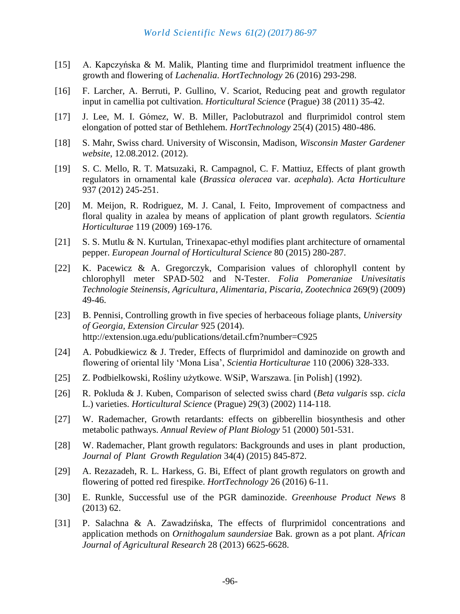- [15] A. Kapczyńska & M. Malik, Planting time and flurprimidol treatment influence the growth and flowering of *Lachenalia*. *HortTechnology* 26 (2016) 293-298.
- [16] F. Larcher, A. Berruti, P. Gullino, V. Scariot, Reducing peat and growth regulator input in camellia pot cultivation. *Horticultural Science* (Prague) 38 (2011) 35-42.
- [17] J. Lee, M. I. Gómez, W. B. Miller, Paclobutrazol and flurprimidol control stem elongation of potted star of Bethlehem. *HortTechnology* 25(4) (2015) 480-486.
- [18] S. Mahr, Swiss chard. University of Wisconsin, Madison, *Wisconsin Master Gardener website*, 12.08.2012. (2012).
- [19] S. C. Mello, R. T. Matsuzaki, R. Campagnol, C. F. Mattiuz, Effects of plant growth regulators in ornamental kale (*Brassica oleracea* var. *acephala*). *Acta Horticulture* 937 (2012) 245-251.
- [20] M. Meijon, R. Rodriguez, M. J. Canal, I. Feito, Improvement of compactness and floral quality in azalea by means of application of plant growth regulators. *Scientia Horticulturae* 119 (2009) 169-176.
- [21] S. S. Mutlu & N. Kurtulan, Trinexapac-ethyl modifies plant architecture of ornamental pepper. *European Journal of Horticultural Science* 80 (2015) 280-287.
- [22] K. Pacewicz & A. Gregorczyk, Comparision values of chlorophyll content by chlorophyll meter SPAD-502 and N-Tester. *Folia Pomeraniae Univesitatis Technologie Steinensis, Agricultura, Alimentaria, Piscaria, Zootechnica* 269(9) (2009) 49-46.
- [23] B. Pennisi, Controlling growth in five species of herbaceous foliage plants, *University of Georgia, Extension Circular* 925 (2014). <http://extension.uga.edu/publications/detail.cfm?number=C925>
- [24] A. Pobudkiewicz & J. Treder, Effects of flurprimidol and daminozide on growth and flowering of oriental lily 'Mona Lisa', *Scientia Horticulturae* 110 (2006) 328-333.
- [25] Z. Podbielkowski, Rośliny użytkowe. WSiP, Warszawa. [in Polish] (1992).
- [26] R. Pokluda & J. Kuben, Comparison of selected swiss chard (*Beta vulgaris* ssp. *cicla* L.) varieties. *Horticultural Science* (Prague) 29(3) (2002) 114-118.
- [27] W. Rademacher, [Growth retardants: effects on gibberellin biosynthesis and other](https://www.researchgate.net/publication/8665683_GROWTH_RETARDANTS_effects_on_gibberellin_biosynthesis_and_other_metabolic_pathways?ev=pub_cit&_iepl%5BviewId%5D=u0RB4y7j0clTTTYiobdBqmBaSR5lpt2aa0yA&_iepl%5Bcontexts%5D%5B0%5D=pdppi&_iepl%5Bdata%5D%5Bmilestone%5D=experimentMilestoneClickedToPublicationFromCitationWithNoFulltext&_iepl%5BinteractionType%5D=publicationView)  [metabolic pathways.](https://www.researchgate.net/publication/8665683_GROWTH_RETARDANTS_effects_on_gibberellin_biosynthesis_and_other_metabolic_pathways?ev=pub_cit&_iepl%5BviewId%5D=u0RB4y7j0clTTTYiobdBqmBaSR5lpt2aa0yA&_iepl%5Bcontexts%5D%5B0%5D=pdppi&_iepl%5Bdata%5D%5Bmilestone%5D=experimentMilestoneClickedToPublicationFromCitationWithNoFulltext&_iepl%5BinteractionType%5D=publicationView) *Annual Review of Plant Biology* 51 (2000) 501-531.
- [28] W. Rademacher, Plant growth regulators: Backgrounds and uses in plant production, *Journal of Plant Growth Regulation* 34(4) (2015) 845-872.
- [29] A. Rezazadeh, R. L. Harkess, G. Bi, Effect of plant growth regulators on growth and flowering of potted red firespike. *HortTechnology* 26 (2016) 6-11.
- [30] E. Runkle, Successful use of the PGR daminozide. *Greenhouse Product News* 8 (2013) 62.
- [31] P. Salachna & A. Zawadzińska, The effects of flurprimidol concentrations and application methods on *Ornithogalum saundersiae* Bak. grown as a pot plant. *African Journal of Agricultural Research* 28 (2013) 6625-6628.